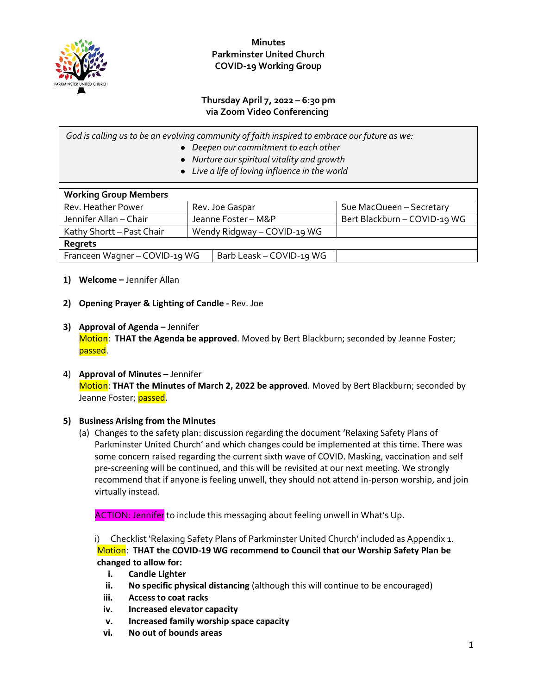

**Minutes Parkminster United Church COVID-19 Working Group**

### **Thursday April 7, 2022 – 6:30 pm via Zoom Video Conferencing**

| God is calling us to be an evolving community of faith inspired to embrace our future as we: |                                                |  |  |
|----------------------------------------------------------------------------------------------|------------------------------------------------|--|--|
|                                                                                              | • Deepen our commitment to each other          |  |  |
|                                                                                              | • Nurture our spiritual vitality and growth    |  |  |
|                                                                                              | • Live a life of loving influence in the world |  |  |
|                                                                                              |                                                |  |  |

| <b>Working Group Members</b>  |                             |                          |                              |  |  |
|-------------------------------|-----------------------------|--------------------------|------------------------------|--|--|
| Rev. Heather Power            | Rev. Joe Gaspar             |                          | Sue MacQueen - Secretary     |  |  |
| Jennifer Allan - Chair        | Jeanne Foster - M&P         |                          | Bert Blackburn - COVID-19 WG |  |  |
| Kathy Shortt - Past Chair     | Wendy Ridgway - COVID-19 WG |                          |                              |  |  |
| Regrets                       |                             |                          |                              |  |  |
| Franceen Wagner - COVID-19 WG |                             | Barb Leask - COVID-19 WG |                              |  |  |
|                               |                             |                          |                              |  |  |

#### **1) Welcome –** Jennifer Allan

- **2) Opening Prayer & Lighting of Candle -** Rev. Joe
- **3) Approval of Agenda –** Jennifer Motion: **THAT the Agenda be approved**. Moved by Bert Blackburn; seconded by Jeanne Foster; passed.
- 4) **Approval of Minutes –** Jennifer Motion: **THAT the Minutes of March 2, 2022 be approved**. Moved by Bert Blackburn; seconded by Jeanne Foster; passed.

### **5) Business Arising from the Minutes**

(a) Changes to the safety plan: discussion regarding the document 'Relaxing Safety Plans of Parkminster United Church' and which changes could be implemented at this time. There was some concern raised regarding the current sixth wave of COVID. Masking, vaccination and self pre-screening will be continued, and this will be revisited at our next meeting. We strongly recommend that if anyone is feeling unwell, they should not attend in-person worship, and join virtually instead.

ACTION: Jennifer to include this messaging about feeling unwell in What's Up.

i) Checklist 'Relaxing Safety Plans of Parkminster United Church' included as Appendix 1. Motion: **THAT the COVID-19 WG recommend to Council that our Worship Safety Plan be changed to allow for:**

- **i. Candle Lighter**
- **ii. No specific physical distancing** (although this will continue to be encouraged)
- **iii. Access to coat racks**
- **iv. Increased elevator capacity**
- **v. Increased family worship space capacity**
- **vi. No out of bounds areas**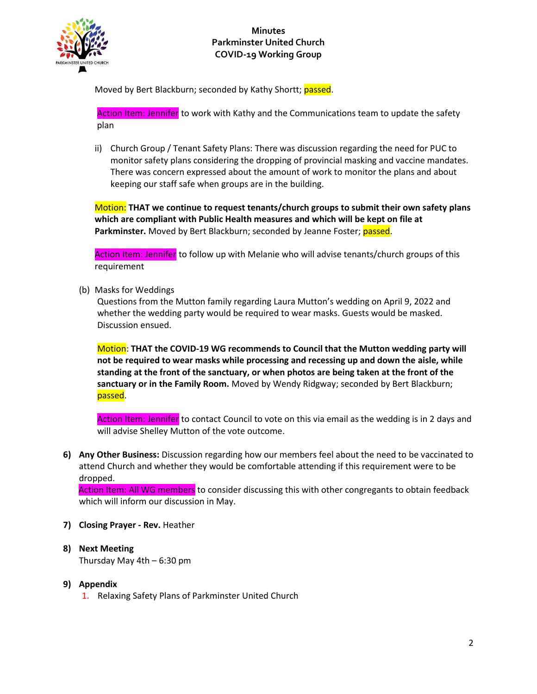

Moved by Bert Blackburn; seconded by Kathy Shortt; passed.

Action Item: Jennifer to work with Kathy and the Communications team to update the safety plan

ii) Church Group / Tenant Safety Plans: There was discussion regarding the need for PUC to monitor safety plans considering the dropping of provincial masking and vaccine mandates. There was concern expressed about the amount of work to monitor the plans and about keeping our staff safe when groups are in the building.

Motion: **THAT we continue to request tenants/church groups to submit their own safety plans which are compliant with Public Health measures and which will be kept on file at**  Parkminster. Moved by Bert Blackburn; seconded by Jeanne Foster; passed.

Action Item: Jennifer to follow up with Melanie who will advise tenants/church groups of this requirement

(b) Masks for Weddings

Questions from the Mutton family regarding Laura Mutton's wedding on April 9, 2022 and whether the wedding party would be required to wear masks. Guests would be masked. Discussion ensued.

Motion: **THAT the COVID-19 WG recommends to Council that the Mutton wedding party will not be required to wear masks while processing and recessing up and down the aisle, while standing at the front of the sanctuary, or when photos are being taken at the front of the sanctuary or in the Family Room.** Moved by Wendy Ridgway; seconded by Bert Blackburn; passed.

Action Item: Jennifer to contact Council to vote on this via email as the wedding is in 2 days and will advise Shelley Mutton of the vote outcome.

**6) Any Other Business:** Discussion regarding how our members feel about the need to be vaccinated to attend Church and whether they would be comfortable attending if this requirement were to be dropped.

Action Item: All WG members to consider discussing this with other congregants to obtain feedback which will inform our discussion in May.

- **7) Closing Prayer - Rev.** Heather
- **8) Next Meeting**  Thursday May 4th – 6:30 pm
- **9) Appendix**
	- 1. Relaxing Safety Plans of Parkminster United Church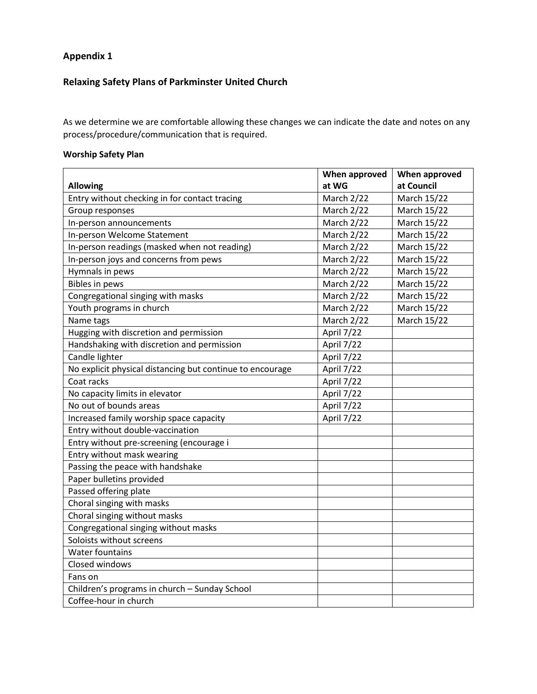# **Appendix 1**

# **Relaxing Safety Plans of Parkminster United Church**

As we determine we are comfortable allowing these changes we can indicate the date and notes on any process/procedure/communication that is required.

## **Worship Safety Plan**

|                                                           | When approved | When approved |
|-----------------------------------------------------------|---------------|---------------|
| <b>Allowing</b>                                           | at WG         | at Council    |
| Entry without checking in for contact tracing             | March 2/22    | March 15/22   |
| Group responses                                           | March 2/22    | March 15/22   |
| In-person announcements                                   | March 2/22    | March 15/22   |
| In-person Welcome Statement                               | March 2/22    | March 15/22   |
| In-person readings (masked when not reading)              | March 2/22    | March 15/22   |
| In-person joys and concerns from pews                     | March 2/22    | March 15/22   |
| Hymnals in pews                                           | March 2/22    | March 15/22   |
| <b>Bibles in pews</b>                                     | March 2/22    | March 15/22   |
| Congregational singing with masks                         | March 2/22    | March 15/22   |
| Youth programs in church                                  | March 2/22    | March 15/22   |
| Name tags                                                 | March 2/22    | March 15/22   |
| Hugging with discretion and permission                    | April 7/22    |               |
| Handshaking with discretion and permission                | April 7/22    |               |
| Candle lighter                                            | April 7/22    |               |
| No explicit physical distancing but continue to encourage | April 7/22    |               |
| Coat racks                                                | April 7/22    |               |
| No capacity limits in elevator                            | April 7/22    |               |
| No out of bounds areas                                    | April 7/22    |               |
| Increased family worship space capacity                   | April 7/22    |               |
| Entry without double-vaccination                          |               |               |
| Entry without pre-screening (encourage i                  |               |               |
| Entry without mask wearing                                |               |               |
| Passing the peace with handshake                          |               |               |
| Paper bulletins provided                                  |               |               |
| Passed offering plate                                     |               |               |
| Choral singing with masks                                 |               |               |
| Choral singing without masks                              |               |               |
| Congregational singing without masks                      |               |               |
| Soloists without screens                                  |               |               |
| <b>Water fountains</b>                                    |               |               |
| Closed windows                                            |               |               |
| Fans on                                                   |               |               |
| Children's programs in church - Sunday School             |               |               |
| Coffee-hour in church                                     |               |               |